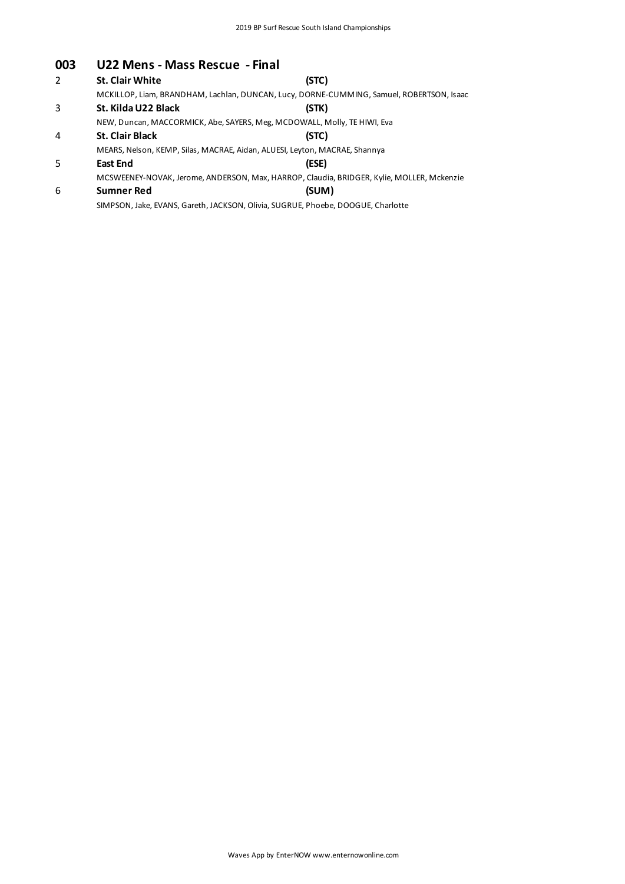#### **003 U22 Mens - Mass Rescue - Final**

| 2 | <b>St. Clair White</b> | (STC)                                                                                     |
|---|------------------------|-------------------------------------------------------------------------------------------|
|   |                        | MCKILLOP, Liam, BRANDHAM, Lachlan, DUNCAN, Lucy, DORNE-CUMMING, Samuel, ROBERTSON, Isaac  |
| 3 | St. Kilda U22 Black    | (STK)                                                                                     |
|   |                        | NEW, Duncan, MACCORMICK, Abe, SAYERS, Meg, MCDOWALL, Molly, TE HIWI, Eva                  |
| 4 | <b>St. Clair Black</b> | (STC)                                                                                     |
|   |                        | MEARS, Nelson, KEMP, Silas, MACRAE, Aidan, ALUESI, Leyton, MACRAE, Shannya                |
| 5 | <b>East End</b>        | (ESE)                                                                                     |
|   |                        | MCSWEENEY-NOVAK, Jerome, ANDERSON, Max, HARROP, Claudia, BRIDGER, Kylie, MOLLER, Mckenzie |
| 6 | <b>Sumner Red</b>      | (SUM)                                                                                     |
|   |                        | SIMPSON, Jake, EVANS, Gareth, JACKSON, Olivia, SUGRUE, Phoebe, DOOGUE, Charlotte          |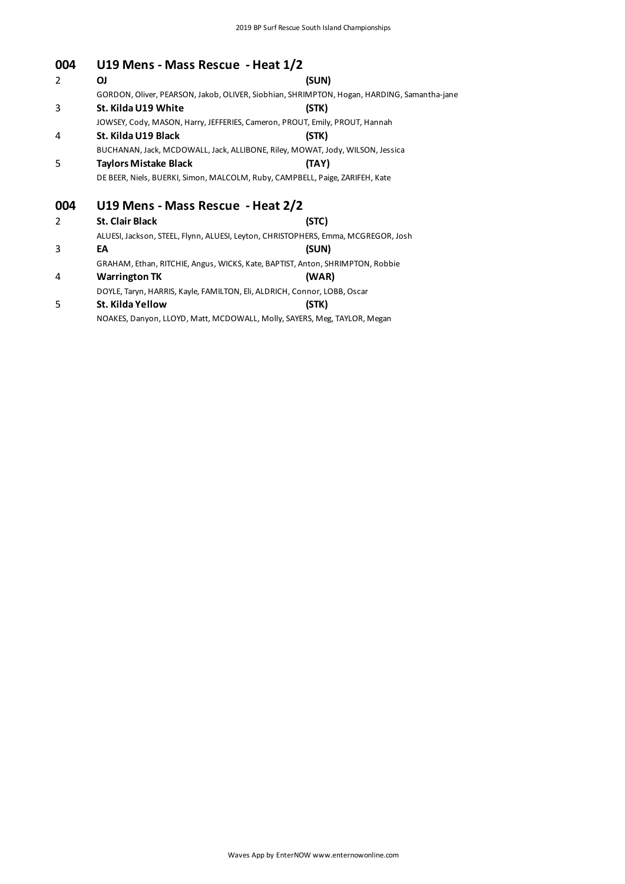| 004 | U19 Mens - Mass Rescue - Heat 1/2 |                                                                                            |
|-----|-----------------------------------|--------------------------------------------------------------------------------------------|
| 2   | ΟJ                                | (SUN)                                                                                      |
|     |                                   | GORDON, Oliver, PEARSON, Jakob, OLIVER, Siobhian, SHRIMPTON, Hogan, HARDING, Samantha-jane |
| 3   | St. Kilda U19 White               | (STK)                                                                                      |
|     |                                   | JOWSEY, Cody, MASON, Harry, JEFFERIES, Cameron, PROUT, Emily, PROUT, Hannah                |
| 4   | St. Kilda U19 Black               | (STK)                                                                                      |
|     |                                   | BUCHANAN, Jack, MCDOWALL, Jack, ALLIBONE, Riley, MOWAT, Jody, WILSON, Jessica              |
| 5   | <b>Taylors Mistake Black</b>      | (TAY)                                                                                      |
|     |                                   | DE BEER, Niels, BUERKI, Simon, MALCOLM, Ruby, CAMPBELL, Paige, ZARIFEH, Kate               |
| 004 | U19 Mens - Mass Rescue - Heat 2/2 |                                                                                            |
| 2   | <b>St. Clair Black</b>            | (STC)                                                                                      |
|     |                                   | ALUESI, Jackson, STEEL, Flynn, ALUESI, Leyton, CHRISTOPHERS, Emma, MCGREGOR, Josh          |
| 3   | EA                                | (SUN)                                                                                      |
|     |                                   | GRAHAM, Ethan, RITCHIE, Angus, WICKS, Kate, BAPTIST, Anton, SHRIMPTON, Robbie              |
| 4   | <b>Warrington TK</b>              | (WAR)                                                                                      |
|     |                                   | DOYLE, Taryn, HARRIS, Kayle, FAMILTON, Eli, ALDRICH, Connor, LOBB, Oscar                   |
| 5   | St. Kilda Yellow                  | (STK)                                                                                      |
|     |                                   | NOAKES, Danyon, LLOYD, Matt, MCDOWALL, Molly, SAYERS, Meg, TAYLOR, Megan                   |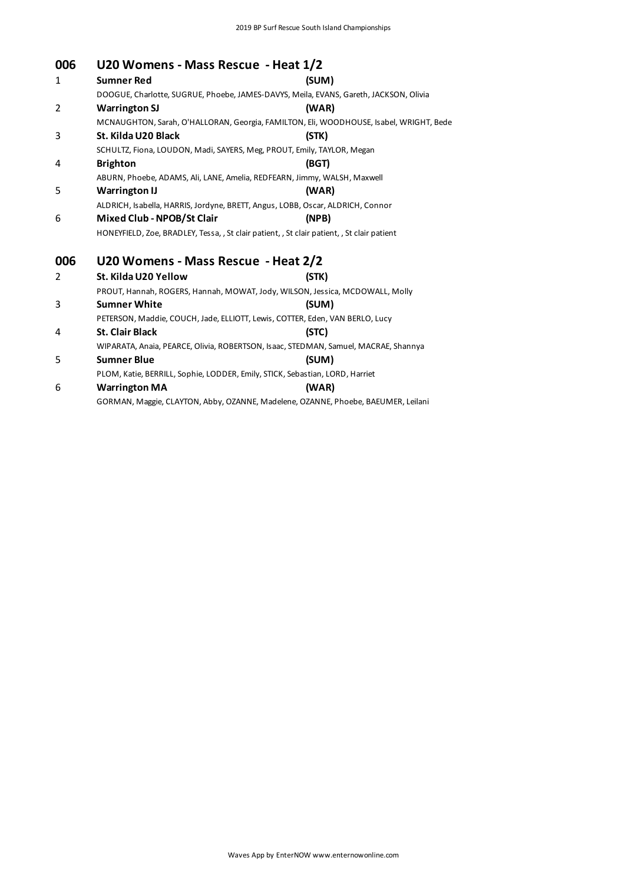#### **006 U20 Womens - Mass Rescue - Heat 1/2**

| uuu          | 020 WOMEN'S - MASS RESCUE - MEAL 1/2 |                                                                                             |
|--------------|--------------------------------------|---------------------------------------------------------------------------------------------|
| $\mathbf{1}$ | <b>Sumner Red</b>                    | (SUM)                                                                                       |
|              |                                      | DOOGUE, Charlotte, SUGRUE, Phoebe, JAMES-DAVYS, Meila, EVANS, Gareth, JACKSON, Olivia       |
| 2            | <b>Warrington SJ</b>                 | (WAR)                                                                                       |
|              |                                      | MCNAUGHTON, Sarah, O'HALLORAN, Georgia, FAMILTON, Eli, WOODHOUSE, Isabel, WRIGHT, Bede      |
| 3            | St. Kilda U20 Black                  | (STK)                                                                                       |
|              |                                      | SCHULTZ, Fiona, LOUDON, Madi, SAYERS, Meg, PROUT, Emily, TAYLOR, Megan                      |
| 4            | <b>Brighton</b>                      | (BGT)                                                                                       |
|              |                                      | ABURN, Phoebe, ADAMS, Ali, LANE, Amelia, REDFEARN, Jimmy, WALSH, Maxwell                    |
| 5            | <b>Warrington IJ</b>                 | (WAR)                                                                                       |
|              |                                      | ALDRICH, Isabella, HARRIS, Jordyne, BRETT, Angus, LOBB, Oscar, ALDRICH, Connor              |
| 6            | Mixed Club - NPOB/St Clair           | (NPB)                                                                                       |
|              |                                      | HONEYFIELD, Zoe, BRADLEY, Tessa, , St clair patient, , St clair patient, , St clair patient |
| 006          | U20 Womens - Mass Rescue - Heat 2/2  |                                                                                             |
| 2            | St. Kilda U20 Yellow                 | (STK)                                                                                       |
|              |                                      | PROUT, Hannah, ROGERS, Hannah, MOWAT, Jody, WILSON, Jessica, MCDOWALL, Molly                |
| 3            | <b>Sumner White</b>                  | (SUM)                                                                                       |
|              |                                      | PETERSON, Maddie, COUCH, Jade, ELLIOTT, Lewis, COTTER, Eden, VAN BERLO, Lucy                |
| 4            | <b>St. Clair Black</b>               | (STC)                                                                                       |
|              |                                      | WIPARATA, Anaia, PEARCE, Olivia, ROBERTSON, Isaac, STEDMAN, Samuel, MACRAE, Shannya         |
| 5            | <b>Sumner Blue</b>                   | (SUM)                                                                                       |
|              |                                      | PLOM, Katie, BERRILL, Sophie, LODDER, Emily, STICK, Sebastian, LORD, Harriet                |
| 6            | <b>Warrington MA</b>                 | (WAR)                                                                                       |
|              |                                      |                                                                                             |

GORMAN, Maggie, CLAYTON, Abby, OZANNE, Madelene, OZANNE, Phoebe, BAEUMER, Leilani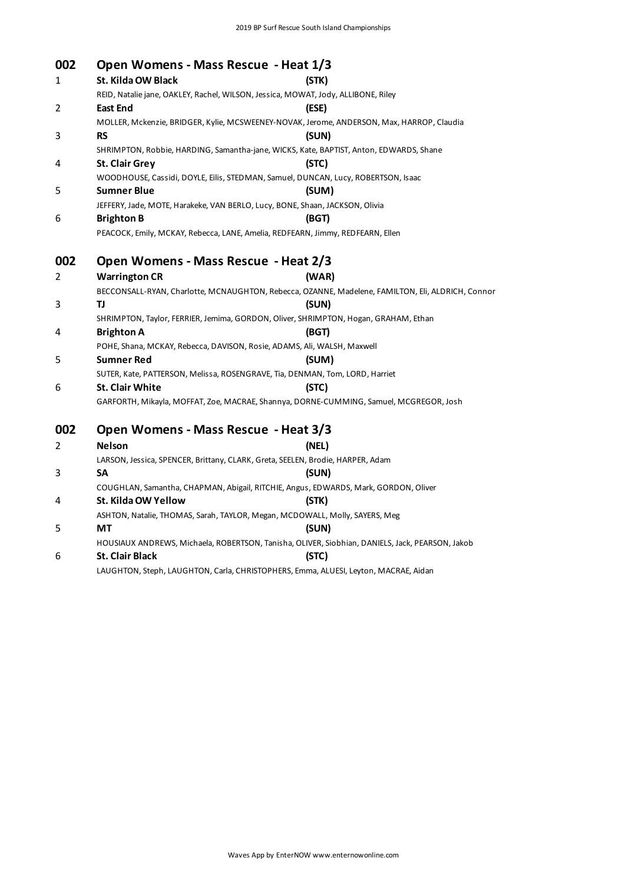| 002 | Open Womens - Mass Rescue - Heat 1/3                                                              |       |
|-----|---------------------------------------------------------------------------------------------------|-------|
| 1   | St. Kilda OW Black                                                                                | (STK) |
|     | REID, Natalie jane, OAKLEY, Rachel, WILSON, Jessica, MOWAT, Jody, ALLIBONE, Riley                 |       |
| 2   | East End                                                                                          | (ESE) |
|     | MOLLER, Mckenzie, BRIDGER, Kylie, MCSWEENEY-NOVAK, Jerome, ANDERSON, Max, HARROP, Claudia         |       |
| 3   | <b>RS</b>                                                                                         | (SUN) |
|     | SHRIMPTON, Robbie, HARDING, Samantha-jane, WICKS, Kate, BAPTIST, Anton, EDWARDS, Shane            |       |
| 4   | <b>St. Clair Grey</b>                                                                             | (STC) |
|     | WOODHOUSE, Cassidi, DOYLE, Eilis, STEDMAN, Samuel, DUNCAN, Lucy, ROBERTSON, Isaac                 |       |
| 5   | <b>Sumner Blue</b>                                                                                | (SUM) |
|     | JEFFERY, Jade, MOTE, Harakeke, VAN BERLO, Lucy, BONE, Shaan, JACKSON, Olivia                      |       |
| 6   | <b>Brighton B</b>                                                                                 | (BGT) |
|     | PEACOCK, Emily, MCKAY, Rebecca, LANE, Amelia, REDFEARN, Jimmy, REDFEARN, Ellen                    |       |
| 002 | Open Womens - Mass Rescue - Heat 2/3                                                              |       |
| 2   | <b>Warrington CR</b>                                                                              | (WAR) |
|     | BECCONSALL-RYAN, Charlotte, MCNAUGHTON, Rebecca, OZANNE, Madelene, FAMILTON, Eli, ALDRICH, Connor |       |
| 3   | TJ                                                                                                | (SUN) |
|     | SHRIMPTON, Taylor, FERRIER, Jemima, GORDON, Oliver, SHRIMPTON, Hogan, GRAHAM, Ethan               |       |
| 4   | <b>Brighton A</b>                                                                                 | (BGT) |
|     | POHE, Shana, MCKAY, Rebecca, DAVISON, Rosie, ADAMS, Ali, WALSH, Maxwell                           |       |
| 5   | <b>Sumner Red</b>                                                                                 | (SUM) |
|     | SUTER, Kate, PATTERSON, Melissa, ROSENGRAVE, Tia, DENMAN, Tom, LORD, Harriet                      |       |
| 6   | St. Clair White                                                                                   | (STC) |
|     | GARFORTH, Mikayla, MOFFAT, Zoe, MACRAE, Shannya, DORNE-CUMMING, Samuel, MCGREGOR, Josh            |       |
| 002 | Open Womens - Mass Rescue - Heat 3/3                                                              |       |
| 2   | <b>Nelson</b>                                                                                     | (NEL) |
|     | LARSON, Jessica, SPENCER, Brittany, CLARK, Greta, SEELEN, Brodie, HARPER, Adam                    |       |
| 3   | <b>SA</b>                                                                                         | (SUN) |
|     | COUGHLAN, Samantha, CHAPMAN, Abigail, RITCHIE, Angus, EDWARDS, Mark, GORDON, Oliver               |       |
| 4   | St. Kilda OW Yellow                                                                               | (STK) |
|     | ASHTON, Natalie, THOMAS, Sarah, TAYLOR, Megan, MCDOWALL, Molly, SAYERS, Meg                       |       |
| 5   | МT                                                                                                | (SUN) |
|     | HOUSIAUX ANDREWS, Michaela, ROBERTSON, Tanisha, OLIVER, Siobhian, DANIELS, Jack, PEARSON, Jakob   |       |
|     |                                                                                                   |       |

#### 6 **St. Clair Black (STC)** LAUGHTON, Steph, LAUGHTON, Carla, CHRISTOPHERS, Emma, ALUESI, Leyton, MACRAE, Aidan

Waves App by EnterNOW www.enternowonline.com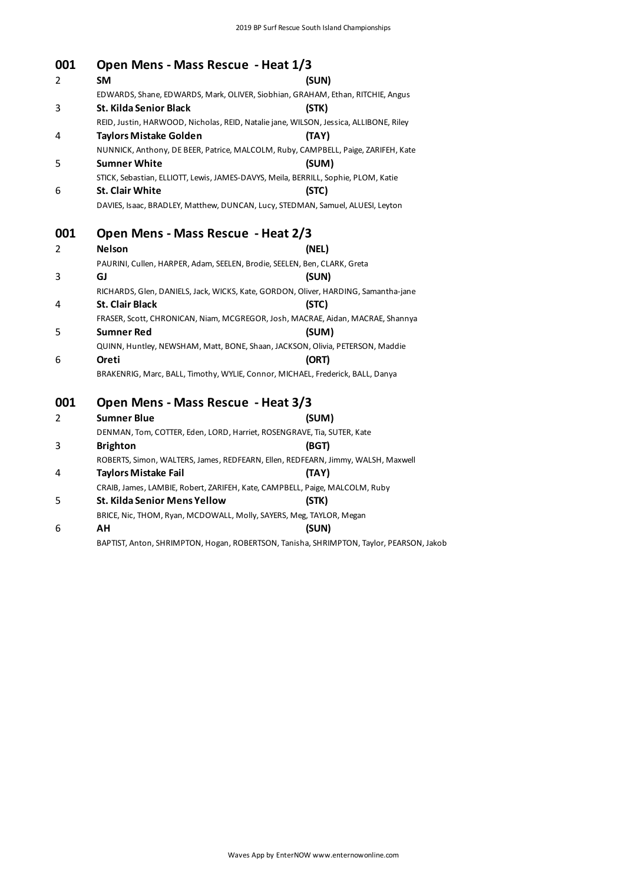#### **001 Open Mens - Mass Rescue - Heat 1/3**

| 001 | Open Mens - Mass Rescue - Heat 1/3                                       |                                                                                       |
|-----|--------------------------------------------------------------------------|---------------------------------------------------------------------------------------|
| 2   | <b>SM</b>                                                                | (SUN)                                                                                 |
|     |                                                                          | EDWARDS, Shane, EDWARDS, Mark, OLIVER, Siobhian, GRAHAM, Ethan, RITCHIE, Angus        |
| 3   | St. Kilda Senior Black                                                   | (STK)                                                                                 |
|     |                                                                          | REID, Justin, HARWOOD, Nicholas, REID, Natalie jane, WILSON, Jessica, ALLIBONE, Riley |
| 4   | <b>Taylors Mistake Golden</b>                                            | (TAY)                                                                                 |
|     |                                                                          | NUNNICK, Anthony, DE BEER, Patrice, MALCOLM, Ruby, CAMPBELL, Paige, ZARIFEH, Kate     |
| 5   | <b>Sumner White</b>                                                      | (SUM)                                                                                 |
|     |                                                                          | STICK, Sebastian, ELLIOTT, Lewis, JAMES-DAVYS, Meila, BERRILL, Sophie, PLOM, Katie    |
| 6   | <b>St. Clair White</b>                                                   | (STC)                                                                                 |
|     |                                                                          | DAVIES, Isaac, BRADLEY, Matthew, DUNCAN, Lucy, STEDMAN, Samuel, ALUESI, Leyton        |
| 001 | Open Mens - Mass Rescue - Heat 2/3                                       |                                                                                       |
| 2   | <b>Nelson</b>                                                            | (NEL)                                                                                 |
|     | PAURINI, Cullen, HARPER, Adam, SEELEN, Brodie, SEELEN, Ben, CLARK, Greta |                                                                                       |
| 3   | GJ                                                                       | (SUN)                                                                                 |
|     |                                                                          | RICHARDS, Glen, DANIELS, Jack, WICKS, Kate, GORDON, Oliver, HARDING, Samantha-jane    |
| 4   | <b>St. Clair Black</b>                                                   | (STC)                                                                                 |
|     |                                                                          | FRASER, Scott, CHRONICAN, Niam, MCGREGOR, Josh, MACRAE, Aidan, MACRAE, Shannya        |
| 5   | <b>Sumner Red</b>                                                        | (SUM)                                                                                 |
|     |                                                                          | QUINN, Huntley, NEWSHAM, Matt, BONE, Shaan, JACKSON, Olivia, PETERSON, Maddie         |
| 6   | Oreti                                                                    | (ORT)                                                                                 |
|     |                                                                          | BRAKENRIG, Marc, BALL, Timothy, WYLIE, Connor, MICHAEL, Frederick, BALL, Danya        |
| 001 | Open Mens - Mass Rescue - Heat 3/3                                       |                                                                                       |
| 2   | <b>Sumner Blue</b>                                                       | (SUM)                                                                                 |
|     | DENMAN, Tom, COTTER, Eden, LORD, Harriet, ROSENGRAVE, Tia, SUTER, Kate   |                                                                                       |
| 3   | <b>Brighton</b>                                                          | (BGT)                                                                                 |

ROBERTS, Simon, WALTERS, James, REDFEARN, Ellen, REDFEARN, Jimmy, WALSH, Maxwell

BAPTIST, Anton, SHRIMPTON, Hogan, ROBERTSON, Tanisha, SHRIMPTON, Taylor, PEARSON, Jakob

CRAIB, James, LAMBIE, Robert, ZARIFEH, Kate, CAMPBELL, Paige, MALCOLM, Ruby

BRICE, Nic, THOM, Ryan, MCDOWALL, Molly, SAYERS, Meg, TAYLOR, Megan

4 **Taylors Mistake Fail (TAY)**

5 **St. Kilda Senior Mens Yellow (STK)**

6 **AH (SUN)**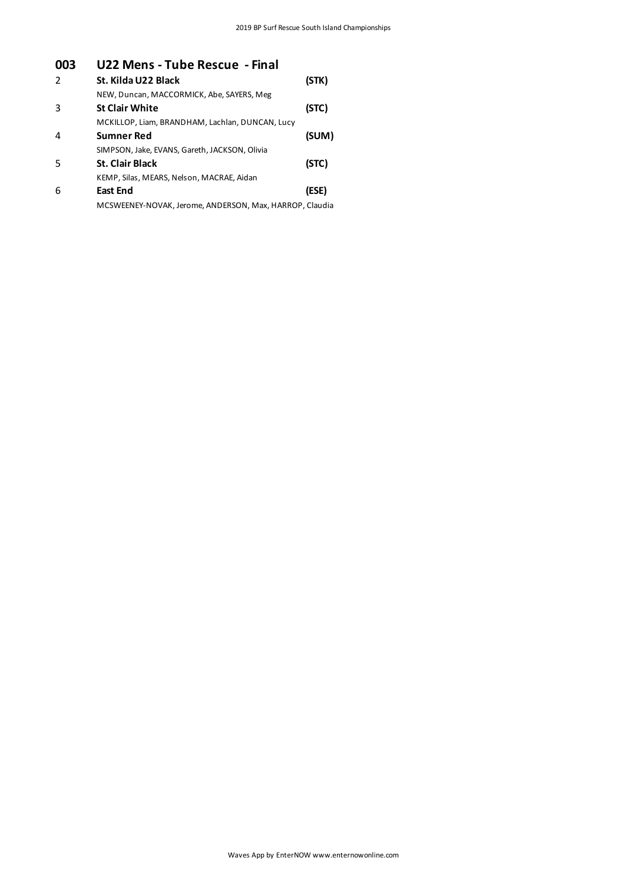## **003 U22 Mens - Tube Rescue - Final**

| $\mathcal{P}$ | St. Kilda U22 Black                                     | (STK) |
|---------------|---------------------------------------------------------|-------|
|               | NEW, Duncan, MACCORMICK, Abe, SAYERS, Meg               |       |
| 3             | <b>St Clair White</b>                                   | (STC) |
|               | MCKILLOP, Liam, BRANDHAM, Lachlan, DUNCAN, Lucy         |       |
| 4             | <b>Sumner Red</b>                                       | (SUM) |
|               | SIMPSON, Jake, EVANS, Gareth, JACKSON, Olivia           |       |
| .5            | <b>St. Clair Black</b>                                  | (STC) |
|               | KEMP, Silas, MEARS, Nelson, MACRAE, Aidan               |       |
| 6             | <b>East End</b>                                         | (ESE) |
|               | MCSWEENEY-NOVAK, Jerome, ANDERSON, Max, HARROP, Claudia |       |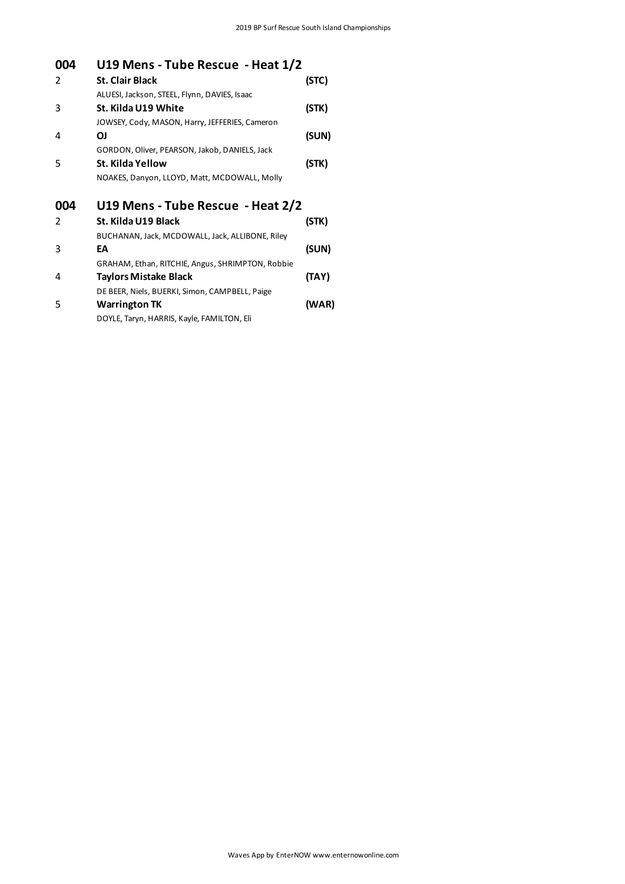| 004           | U19 Mens - Tube Rescue - Heat 1/2                |       |
|---------------|--------------------------------------------------|-------|
| 2             | <b>St. Clair Black</b>                           | (STC) |
|               | ALUESI, Jackson, STEEL, Flynn, DAVIES, Isaac     |       |
| 3             | St. Kilda U19 White                              | (STK) |
|               | JOWSEY, Cody, MASON, Harry, JEFFERIES, Cameron   |       |
| 4             | ΟJ                                               | (SUN) |
|               | GORDON, Oliver, PEARSON, Jakob, DANIELS, Jack    |       |
| 5             | St. Kilda Yellow                                 | (STK) |
|               | NOAKES, Danyon, LLOYD, Matt, MCDOWALL, Molly     |       |
| 004           | U19 Mens - Tube Rescue - Heat 2/2                |       |
|               |                                                  |       |
| $\mathcal{P}$ | St. Kilda U19 Black                              | (STK) |
|               | BUCHANAN, Jack, MCDOWALL, Jack, ALLIBONE, Riley  |       |
| 3             | EА                                               | (SUN) |
|               | GRAHAM, Ethan, RITCHIE, Angus, SHRIMPTON, Robbie |       |
| 4             | Taylors Mistake Black                            | (TAY) |
|               | DE BEER, Niels, BUERKI, Simon, CAMPBELL, Paige   |       |
| 5             | <b>Warrington TK</b>                             | (WAR) |
|               | DOYLE, Taryn, HARRIS, Kayle, FAMILTON, Eli       |       |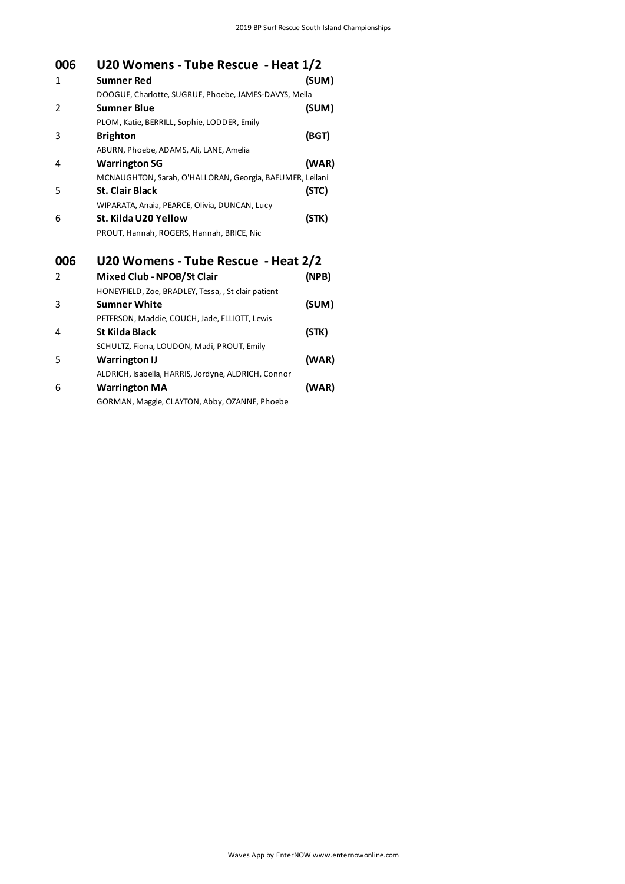| 006 | U20 Womens - Tube Rescue - Heat 1/2                      |       |
|-----|----------------------------------------------------------|-------|
| 1   | <b>Sumner Red</b>                                        | (SUM) |
|     | DOOGUE, Charlotte, SUGRUE, Phoebe, JAMES-DAVYS, Meila    |       |
| 2   | <b>Sumner Blue</b>                                       | (SUM) |
|     | PLOM, Katie, BERRILL, Sophie, LODDER, Emily              |       |
| 3   | <b>Brighton</b>                                          | (BGT) |
|     | ABURN, Phoebe, ADAMS, Ali, LANE, Amelia                  |       |
| 4   | <b>Warrington SG</b>                                     | (WAR) |
|     | MCNAUGHTON, Sarah, O'HALLORAN, Georgia, BAEUMER, Leilani |       |
| 5   | <b>St. Clair Black</b>                                   | (STC) |
|     | WIPARATA, Anaia, PEARCE, Olivia, DUNCAN, Lucy            |       |
| 6   | St. Kilda U20 Yellow                                     | (STK) |
|     | PROUT, Hannah, ROGERS, Hannah, BRICE, Nic                |       |
| 006 | U20 Womens - Tube Rescue - Heat 2/2                      |       |
| 2   | Mixed Club - NPOB/St Clair                               | (NPB) |
|     | HONEYFIELD, Zoe, BRADLEY, Tessa, , St clair patient      |       |
| 3   | <b>Sumner White</b>                                      | (SUM) |
|     | PETERSON, Maddie, COUCH, Jade, ELLIOTT, Lewis            |       |
| 4   | <b>St Kilda Black</b>                                    | (STK) |
|     | SCHULTZ, Fiona, LOUDON, Madi, PROUT, Emily               |       |
| 5   | <b>Warrington IJ</b>                                     | (WAR) |
|     | ALDRICH, Isabella, HARRIS, Jordyne, ALDRICH, Connor      |       |
| 6   | <b>Warrington MA</b>                                     | (WAR) |
|     | GORMAN, Maggie, CLAYTON, Abby, OZANNE, Phoebe            |       |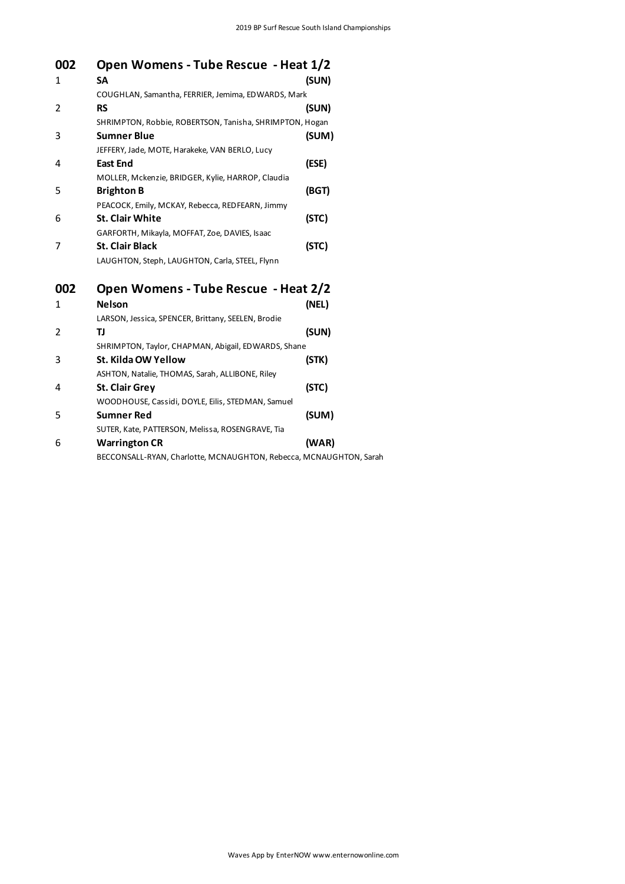| 002 | Open Womens - Tube Rescue - Heat 1/2                               |       |
|-----|--------------------------------------------------------------------|-------|
| 1   | <b>SA</b>                                                          | (SUN) |
|     | COUGHLAN, Samantha, FERRIER, Jemima, EDWARDS, Mark                 |       |
| 2   | <b>RS</b>                                                          | (SUN) |
|     | SHRIMPTON, Robbie, ROBERTSON, Tanisha, SHRIMPTON, Hogan            |       |
| 3   | <b>Sumner Blue</b>                                                 | (SUM) |
|     | JEFFERY, Jade, MOTE, Harakeke, VAN BERLO, Lucy                     |       |
| 4   | <b>East End</b>                                                    | (ESE) |
|     | MOLLER, Mckenzie, BRIDGER, Kylie, HARROP, Claudia                  |       |
| 5   | <b>Brighton B</b>                                                  | (BGT) |
|     | PEACOCK, Emily, MCKAY, Rebecca, REDFEARN, Jimmy                    |       |
| 6   | <b>St. Clair White</b>                                             | (STC) |
|     | GARFORTH, Mikayla, MOFFAT, Zoe, DAVIES, Isaac                      |       |
| 7   | <b>St. Clair Black</b>                                             | (STC) |
|     | LAUGHTON, Steph, LAUGHTON, Carla, STEEL, Flynn                     |       |
| 002 | Open Womens - Tube Rescue - Heat 2/2                               |       |
| 1   | <b>Nelson</b>                                                      | (NEL) |
|     | LARSON, Jessica, SPENCER, Brittany, SEELEN, Brodie                 |       |
| 2   | TJ                                                                 | (SUN) |
|     | SHRIMPTON, Taylor, CHAPMAN, Abigail, EDWARDS, Shane                |       |
| 3   | St. Kilda OW Yellow                                                | (STK) |
|     | ASHTON, Natalie, THOMAS, Sarah, ALLIBONE, Riley                    |       |
| 4   | <b>St. Clair Grey</b>                                              | (STC) |
|     | WOODHOUSE, Cassidi, DOYLE, Eilis, STEDMAN, Samuel                  |       |
| 5   | <b>Sumner Red</b>                                                  | (SUM) |
|     | SUTER, Kate, PATTERSON, Melissa, ROSENGRAVE, Tia                   |       |
| 6   | <b>Warrington CR</b>                                               | (WAR) |
|     | BECCONSALL-RYAN, Charlotte, MCNAUGHTON, Rebecca, MCNAUGHTON, Sarah |       |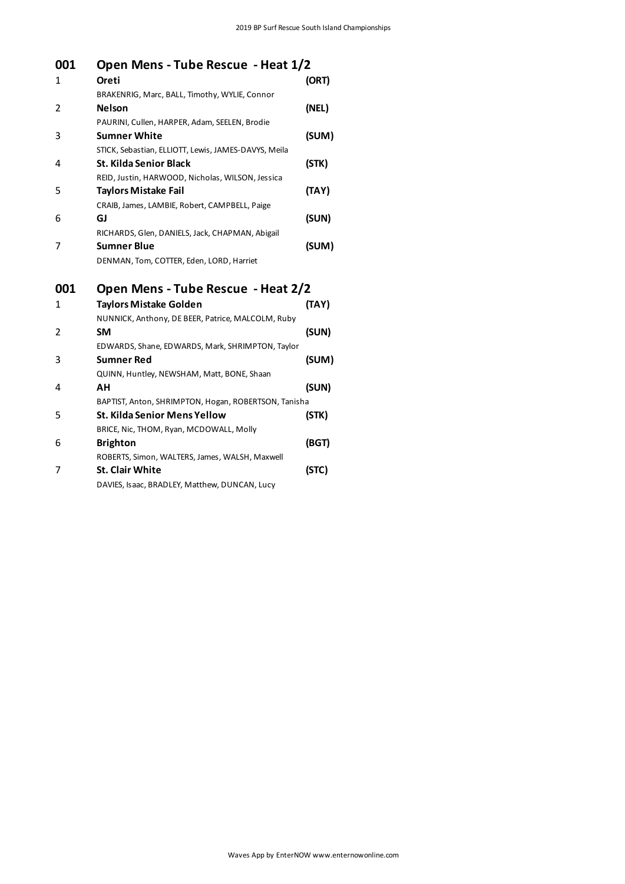| 001 | Open Mens - Tube Rescue - Heat 1/2                   |       |
|-----|------------------------------------------------------|-------|
| 1   | Oreti                                                | (ORT) |
|     | BRAKENRIG, Marc, BALL, Timothy, WYLIE, Connor        |       |
| 2   | <b>Nelson</b>                                        | (NEL) |
|     | PAURINI, Cullen, HARPER, Adam, SEELEN, Brodie        |       |
| 3   | <b>Sumner White</b>                                  | (SUM) |
|     | STICK, Sebastian, ELLIOTT, Lewis, JAMES-DAVYS, Meila |       |
| 4   | <b>St. Kilda Senior Black</b>                        | (STK) |
|     | REID, Justin, HARWOOD, Nicholas, WILSON, Jessica     |       |
| 5   | <b>Taylors Mistake Fail</b>                          | (TAY) |
|     | CRAIB, James, LAMBIE, Robert, CAMPBELL, Paige        |       |
| 6   | GJ                                                   | (SUN) |
|     | RICHARDS, Glen, DANIELS, Jack, CHAPMAN, Abigail      |       |
| 7   | <b>Sumner Blue</b>                                   | (SUM) |
|     | DENMAN, Tom, COTTER, Eden, LORD, Harriet             |       |
| 001 | Open Mens - Tube Rescue - Heat 2/2                   |       |
| 1   | <b>Taylors Mistake Golden</b>                        | (TAY) |
|     | NUNNICK, Anthony, DE BEER, Patrice, MALCOLM, Ruby    |       |
| 2   | <b>SM</b>                                            | (SUN) |
|     | EDWARDS, Shane, EDWARDS, Mark, SHRIMPTON, Taylor     |       |
| 3   | <b>Sumner Red</b>                                    | (SUM) |
|     | QUINN, Huntley, NEWSHAM, Matt, BONE, Shaan           |       |
| 4   | АН                                                   | (SUN) |
|     | BAPTIST, Anton, SHRIMPTON, Hogan, ROBERTSON, Tanisha |       |
| 5   | St. Kilda Senior Mens Yellow                         | (STK) |
|     | BRICE, Nic, THOM, Ryan, MCDOWALL, Molly              |       |
| 6   | <b>Brighton</b>                                      | (BGT) |
|     | ROBERTS, Simon, WALTERS, James, WALSH, Maxwell       |       |
| 7   | <b>St. Clair White</b>                               | (STC) |
|     | DAVIES, Isaac, BRADLEY, Matthew, DUNCAN, Lucy        |       |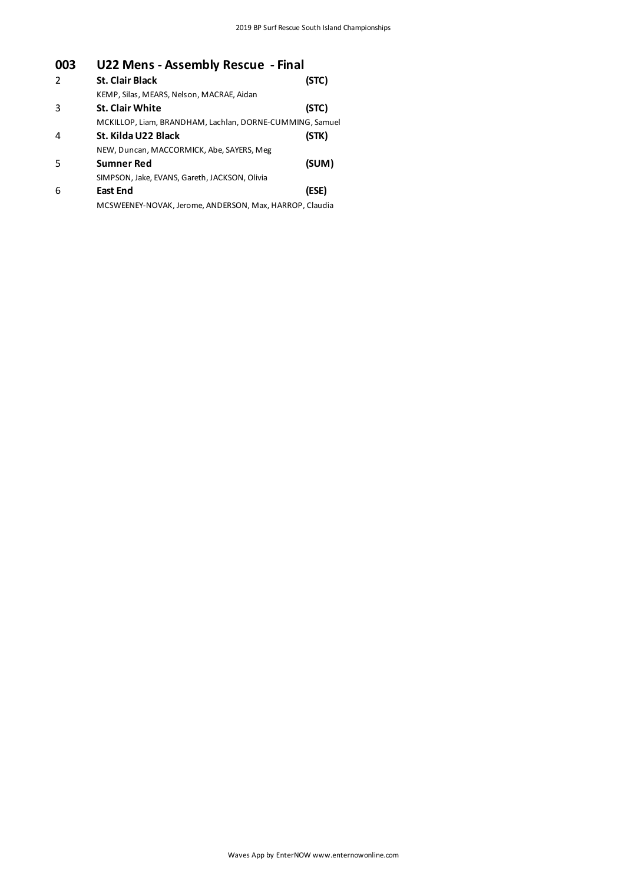# **003 U22 Mens - Assembly Rescue - Final**

| $\mathcal{P}$ | <b>St. Clair Black</b>                                   | (STC) |
|---------------|----------------------------------------------------------|-------|
|               | KEMP, Silas, MEARS, Nelson, MACRAE, Aidan                |       |
| 3             | <b>St. Clair White</b>                                   | (STC) |
|               | MCKILLOP, Liam, BRANDHAM, Lachlan, DORNE-CUMMING, Samuel |       |
| 4             | St. Kilda U22 Black                                      | (STK) |
|               | NEW, Duncan, MACCORMICK, Abe, SAYERS, Meg                |       |
| .5            | <b>Sumner Red</b>                                        | (SUM) |
|               | SIMPSON, Jake, EVANS, Gareth, JACKSON, Olivia            |       |
| 6             | <b>East End</b>                                          | (ESE) |
|               | MCSWEENEY-NOVAK, Jerome, ANDERSON, Max, HARROP, Claudia  |       |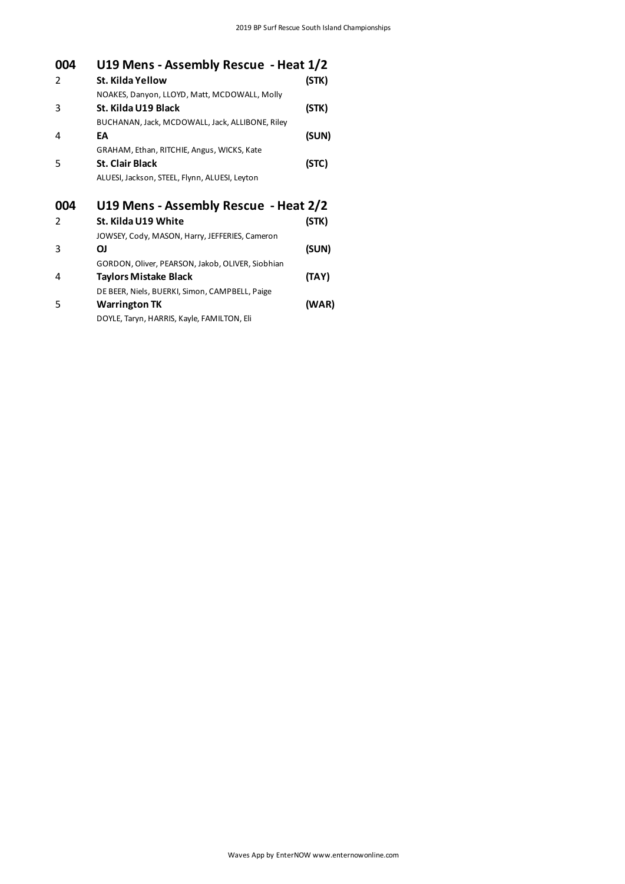| 004           | U19 Mens - Assembly Rescue - Heat 1/2            |       |
|---------------|--------------------------------------------------|-------|
| 2             | St. Kilda Yellow                                 | (STK) |
|               | NOAKES, Danyon, LLOYD, Matt, MCDOWALL, Molly     |       |
| 3             | St. Kilda U19 Black                              | (STK) |
|               | BUCHANAN, Jack, MCDOWALL, Jack, ALLIBONE, Riley  |       |
| 4             | EA                                               | (SUN) |
|               | GRAHAM, Ethan, RITCHIE, Angus, WICKS, Kate       |       |
| 5             | <b>St. Clair Black</b>                           | (STC) |
|               | ALUESI, Jackson, STEEL, Flynn, ALUESI, Leyton    |       |
| 004           | U19 Mens - Assembly Rescue - Heat 2/2            |       |
|               |                                                  |       |
| $\mathcal{P}$ | St. Kilda U19 White                              | (STK) |
|               | JOWSEY, Cody, MASON, Harry, JEFFERIES, Cameron   |       |
| 3             | ΟJ                                               | (SUN) |
|               | GORDON, Oliver, PEARSON, Jakob, OLIVER, Siobhian |       |
| 4             | Taylors Mistake Black                            | (TAY) |
|               | DE BEER, Niels, BUERKI, Simon, CAMPBELL, Paige   |       |
| 5             | <b>Warrington TK</b>                             | (WAR) |
|               | DOYLE, Taryn, HARRIS, Kayle, FAMILTON, Eli       |       |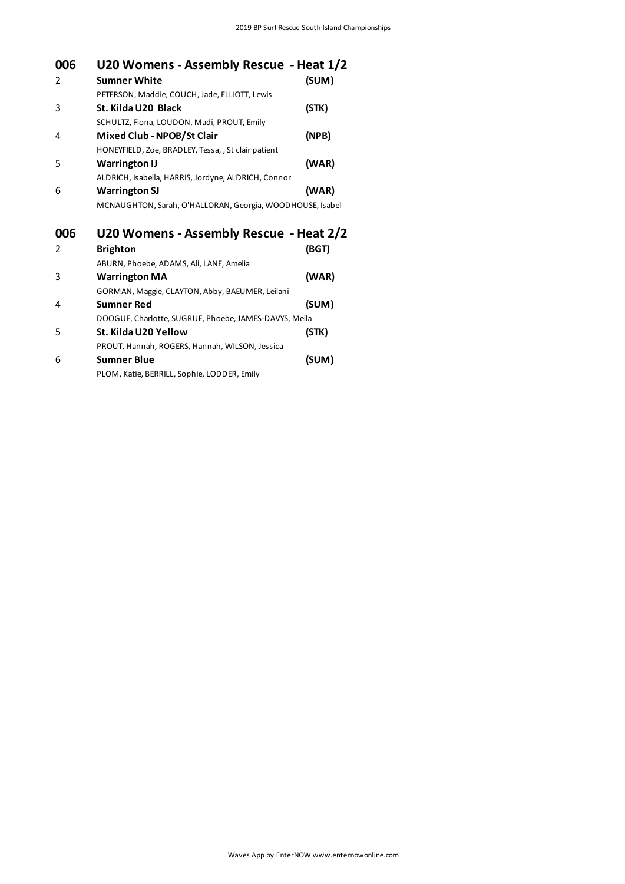| 006            | U20 Womens - Assembly Rescue - Heat 1/2                   |       |
|----------------|-----------------------------------------------------------|-------|
| 2              | <b>Sumner White</b>                                       | (SUM) |
|                | PETERSON, Maddie, COUCH, Jade, ELLIOTT, Lewis             |       |
| 3              | St. Kilda U20 Black                                       | (STK) |
|                | SCHULTZ, Fiona, LOUDON, Madi, PROUT, Emily                |       |
| 4              | <b>Mixed Club - NPOB/St Clair</b>                         | (NPB) |
|                | HONEYFIELD, Zoe, BRADLEY, Tessa, , St clair patient       |       |
| 5              | <b>Warrington IJ</b>                                      | (WAR) |
|                | ALDRICH, Isabella, HARRIS, Jordyne, ALDRICH, Connor       |       |
| 6              | <b>Warrington SJ</b>                                      | (WAR) |
|                | MCNAUGHTON, Sarah, O'HALLORAN, Georgia, WOODHOUSE, Isabel |       |
| 006            | U20 Womens - Assembly Rescue - Heat 2/2                   |       |
| $\overline{2}$ | <b>Brighton</b>                                           | (BGT) |
|                | ABURN, Phoebe, ADAMS, Ali, LANE, Amelia                   |       |
| 3              | <b>Warrington MA</b>                                      | (WAR) |
|                | GORMAN, Maggie, CLAYTON, Abby, BAEUMER, Leilani           |       |
| 4              | <b>Sumner Red</b>                                         | (SUM) |
|                | DOOGUE, Charlotte, SUGRUE, Phoebe, JAMES-DAVYS, Meila     |       |
| 5              | St. Kilda U20 Yellow                                      | (STK) |
|                | PROUT, Hannah, ROGERS, Hannah, WILSON, Jessica            |       |
| 6              | <b>Sumner Blue</b>                                        | (SUM) |

PLOM, Katie, BERRILL, Sophie, LODDER, Emily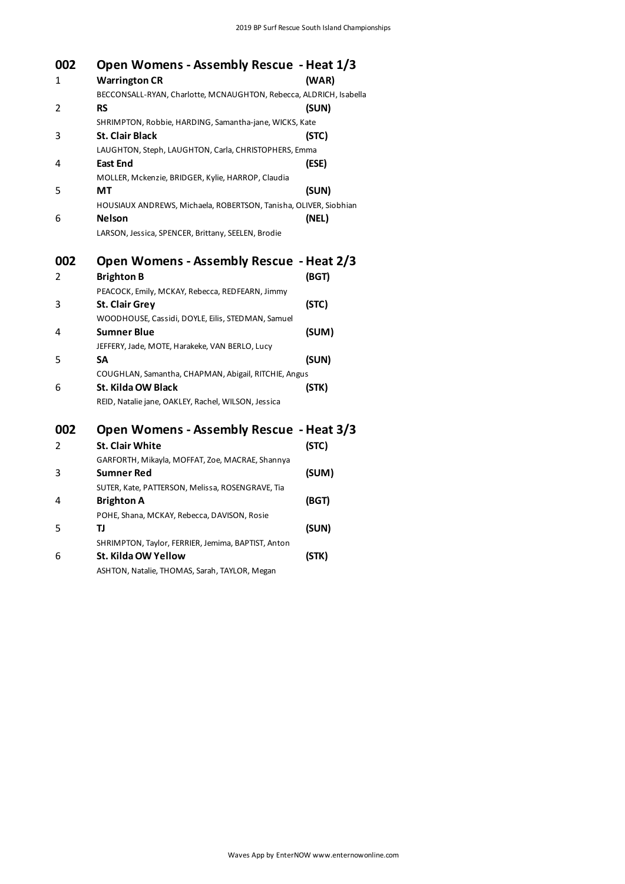| 002 | Open Womens - Assembly Rescue - Heat 1/3                           |       |
|-----|--------------------------------------------------------------------|-------|
| 1   | <b>Warrington CR</b>                                               | (WAR) |
|     | BECCONSALL-RYAN, Charlotte, MCNAUGHTON, Rebecca, ALDRICH, Isabella |       |
| 2   | <b>RS</b>                                                          | (SUN) |
|     | SHRIMPTON, Robbie, HARDING, Samantha-jane, WICKS, Kate             |       |
| 3   | <b>St. Clair Black</b>                                             | (STC) |
|     | LAUGHTON, Steph, LAUGHTON, Carla, CHRISTOPHERS, Emma               |       |
| 4   | East End                                                           | (ESE) |
|     | MOLLER, Mckenzie, BRIDGER, Kylie, HARROP, Claudia                  |       |
| 5   | МT                                                                 | (SUN) |
|     | HOUSIAUX ANDREWS, Michaela, ROBERTSON, Tanisha, OLIVER, Siobhian   |       |
| 6   | <b>Nelson</b>                                                      | (NEL) |
|     | LARSON, Jessica, SPENCER, Brittany, SEELEN, Brodie                 |       |
| 002 | Open Womens - Assembly Rescue - Heat 2/3                           |       |
| 2   | <b>Brighton B</b>                                                  | (BGT) |
|     | PEACOCK, Emily, MCKAY, Rebecca, REDFEARN, Jimmy                    |       |
| 3   | <b>St. Clair Grey</b>                                              | (STC) |
|     | WOODHOUSE, Cassidi, DOYLE, Eilis, STEDMAN, Samuel                  |       |
| 4   | <b>Sumner Blue</b>                                                 | (SUM) |
|     | JEFFERY, Jade, MOTE, Harakeke, VAN BERLO, Lucy                     |       |
| 5   | SΑ                                                                 | (SUN) |
|     | COUGHLAN, Samantha, CHAPMAN, Abigail, RITCHIE, Angus               |       |
| 6   | St. Kilda OW Black                                                 | (STK) |
|     | REID, Natalie jane, OAKLEY, Rachel, WILSON, Jessica                |       |
| 002 | Open Womens - Assembly Rescue - Heat 3/3                           |       |
| 2   | <b>St. Clair White</b>                                             | (STC) |
|     | GARFORTH, Mikayla, MOFFAT, Zoe, MACRAE, Shannya                    |       |
| 3   | Sumner Red                                                         | (SUM) |
|     | SUTER, Kate, PATTERSON, Melissa, ROSENGRAVE, Tia                   |       |
| 4   | <b>Brighton A</b>                                                  | (BGT) |
|     | POHE, Shana, MCKAY, Rebecca, DAVISON, Rosie                        |       |
| 5   | TJ                                                                 | (SUN) |
|     | SHRIMPTON, Taylor, FERRIER, Jemima, BAPTIST, Anton                 |       |
| 6   | St. Kilda OW Yellow                                                | (STK) |
|     | ASHTON, Natalie, THOMAS, Sarah, TAYLOR, Megan                      |       |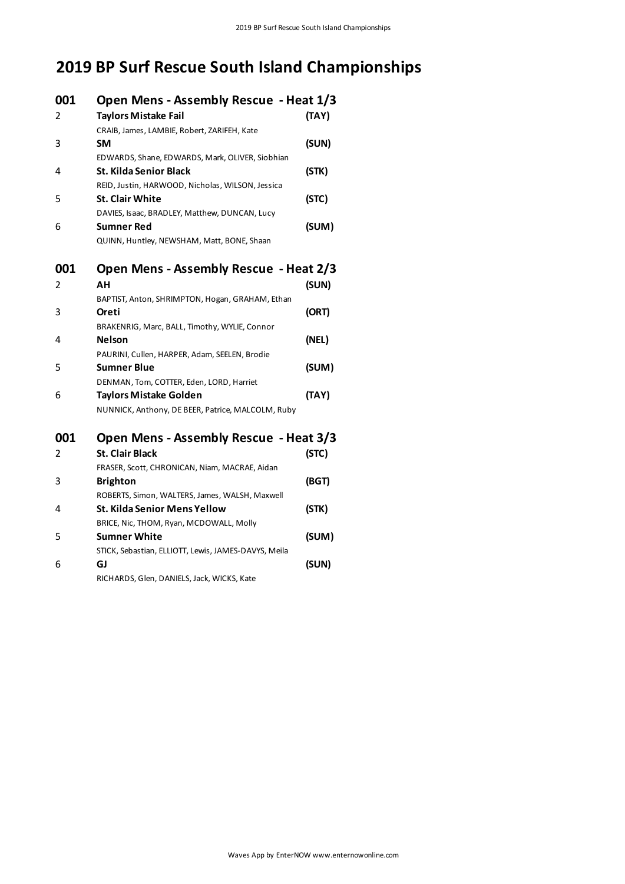# **2019 BP Surf Rescue South Island Championships**

| 001<br>2 | Open Mens - Assembly Rescue - Heat 1/3<br><b>Taylors Mistake Fail</b>                                                          | (TAY) |
|----------|--------------------------------------------------------------------------------------------------------------------------------|-------|
| 3        | CRAIB, James, LAMBIE, Robert, ZARIFEH, Kate<br>SM                                                                              | (SUN) |
| 4        | EDWARDS, Shane, EDWARDS, Mark, OLIVER, Siobhian<br><b>St. Kilda Senior Black</b>                                               | (STK) |
| 5        | REID, Justin, HARWOOD, Nicholas, WILSON, Jessica<br><b>St. Clair White</b>                                                     | (STC) |
| 6        | DAVIES, Isaac, BRADLEY, Matthew, DUNCAN, Lucy<br>Sumner Red<br>QUINN, Huntley, NEWSHAM, Matt, BONE, Shaan                      | (SUM) |
| 001<br>2 | Open Mens - Assembly Rescue - Heat 2/3<br>ΑН                                                                                   | (SUN) |
| 3        | BAPTIST, Anton, SHRIMPTON, Hogan, GRAHAM, Ethan<br>Oreti                                                                       | (ORT) |
| 4        | BRAKENRIG, Marc, BALL, Timothy, WYLIE, Connor<br><b>Nelson</b>                                                                 | (NEL) |
| 5        | PAURINI, Cullen, HARPER, Adam, SEELEN, Brodie<br>Sumner Blue                                                                   | (SUM) |
| 6        | DENMAN, Tom, COTTER, Eden, LORD, Harriet<br><b>Taylors Mistake Golden</b><br>NUNNICK, Anthony, DE BEER, Patrice, MALCOLM, Ruby | (TAY) |
| 001      | Open Mens - Assembly Rescue - Heat 3/3                                                                                         |       |
| 2        | <b>St. Clair Black</b><br>FRASER, Scott, CHRONICAN, Niam, MACRAE, Aidan                                                        | (STC) |
| 3        | <b>Brighton</b><br>ROBERTS, Simon, WALTERS, James, WALSH, Maxwell                                                              | (BGT) |
| 4        | St. Kilda Senior Mens Yellow<br>BRICE, Nic, THOM, Ryan, MCDOWALL, Molly                                                        | (STK) |
| 5        | <b>Sumner White</b>                                                                                                            | (SUM) |
| 6        | STICK, Sebastian, ELLIOTT, Lewis, JAMES-DAVYS, Meila<br>GJ<br>RICHARDS, Glen, DANIELS, Jack, WICKS, Kate                       | (SUN) |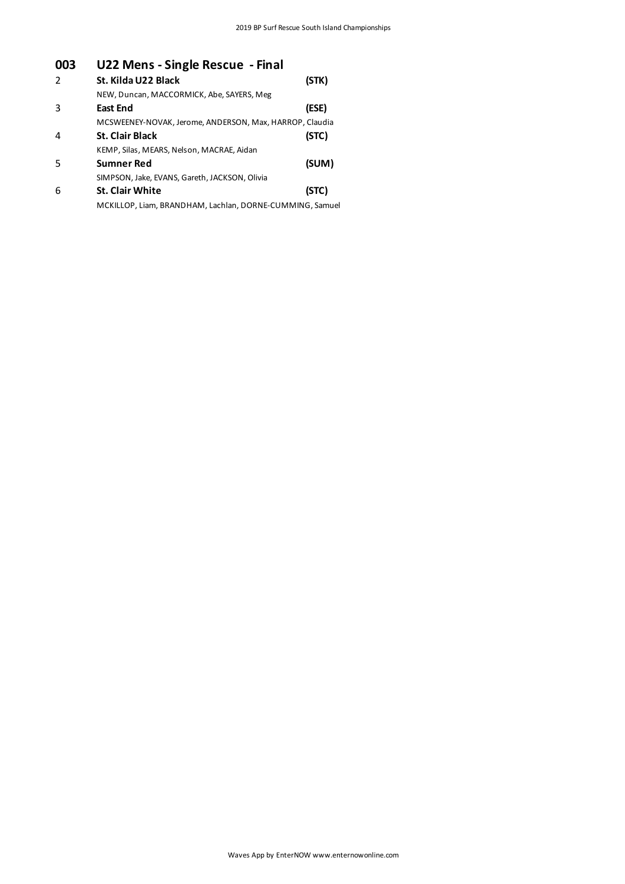# **003 U22 Mens - Single Rescue - Final**

| $\mathcal{P}$ | St. Kilda U22 Black<br>(STK)                             |
|---------------|----------------------------------------------------------|
|               | NEW, Duncan, MACCORMICK, Abe, SAYERS, Meg                |
| 3             | (ESE)<br><b>East End</b>                                 |
|               | MCSWEENEY-NOVAK, Jerome, ANDERSON, Max, HARROP, Claudia  |
| 4             | (STC)<br><b>St. Clair Black</b>                          |
|               | KEMP, Silas, MEARS, Nelson, MACRAE, Aidan                |
| .5            | (SUM)<br><b>Sumner Red</b>                               |
|               | SIMPSON, Jake, EVANS, Gareth, JACKSON, Olivia            |
| 6             | (STC)<br><b>St. Clair White</b>                          |
|               | MCKILLOP, Liam, BRANDHAM, Lachlan, DORNE-CUMMING, Samuel |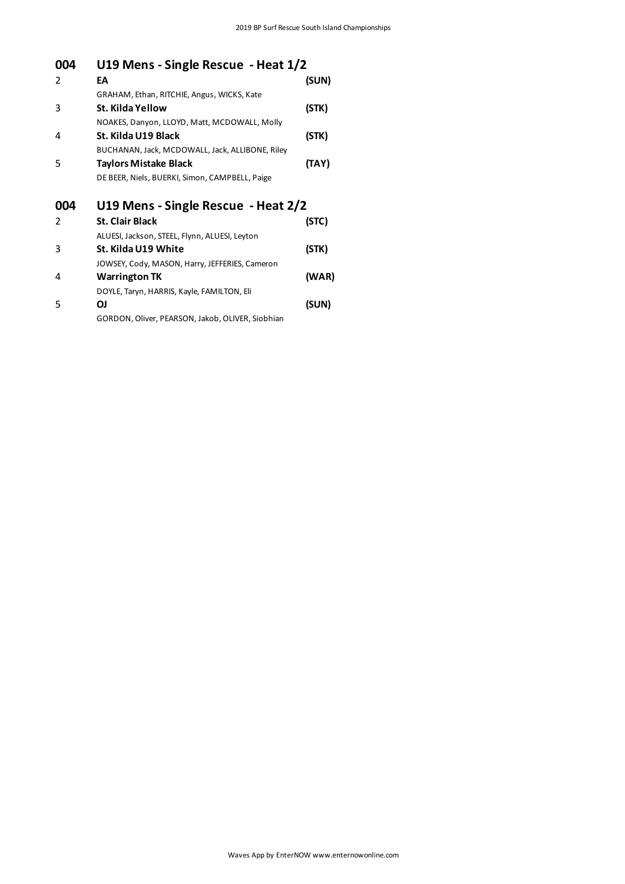| 004           | U19 Mens - Single Rescue - Heat 1/2              |       |  |
|---------------|--------------------------------------------------|-------|--|
| $\mathcal{P}$ | EA                                               | (SUN) |  |
|               | GRAHAM, Ethan, RITCHIE, Angus, WICKS, Kate       |       |  |
| 3             | St. Kilda Yellow                                 | (STK) |  |
|               | NOAKES, Danyon, LLOYD, Matt, MCDOWALL, Molly     |       |  |
| 4             | St. Kilda U19 Black                              | (STK) |  |
|               | BUCHANAN, Jack, MCDOWALL, Jack, ALLIBONE, Riley  |       |  |
| 5             | <b>Taylors Mistake Black</b>                     | (TAY) |  |
|               | DE BEER, Niels, BUERKI, Simon, CAMPBELL, Paige   |       |  |
| 004           | U19 Mens - Single Rescue - Heat 2/2              |       |  |
| $\mathcal{P}$ | <b>St. Clair Black</b>                           | (STC) |  |
|               | ALUESI, Jackson, STEEL, Flynn, ALUESI, Leyton    |       |  |
| 3             | St. Kilda U19 White                              | (STK) |  |
|               | JOWSEY, Cody, MASON, Harry, JEFFERIES, Cameron   |       |  |
| 4             | <b>Warrington TK</b>                             | (WAR) |  |
|               | DOYLE, Taryn, HARRIS, Kayle, FAMILTON, Eli       |       |  |
| 5             | ΟJ                                               | (SUN) |  |
|               | GORDON, Oliver, PEARSON, Jakob, OLIVER, Siobhian |       |  |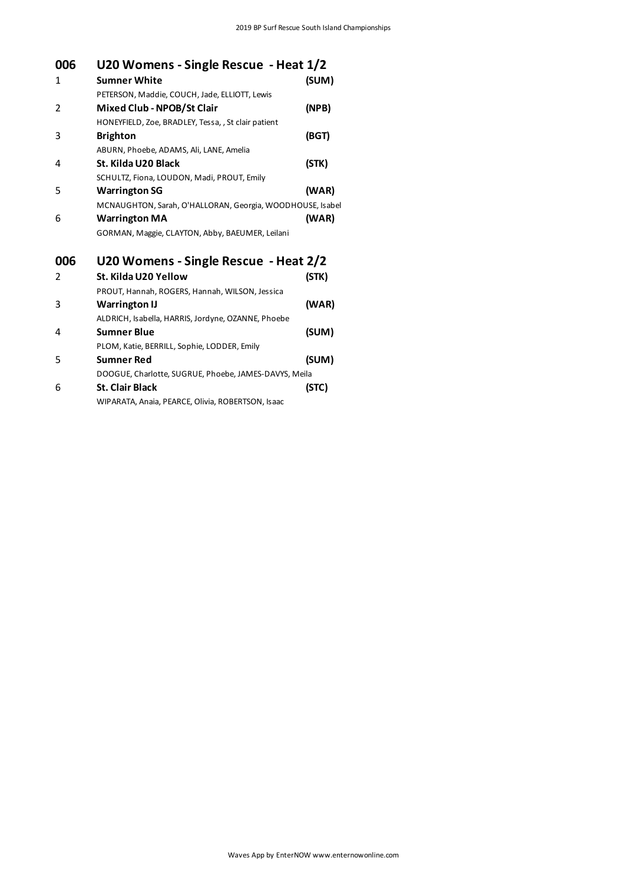| 006 | U20 Womens - Single Rescue - Heat 1/2                     |       |
|-----|-----------------------------------------------------------|-------|
| 1   | <b>Sumner White</b>                                       | (SUM) |
|     | PETERSON, Maddie, COUCH, Jade, ELLIOTT, Lewis             |       |
| 2   | Mixed Club - NPOB/St Clair                                | (NPB) |
|     | HONEYFIELD, Zoe, BRADLEY, Tessa, , St clair patient       |       |
| 3   | <b>Brighton</b>                                           | (BGT) |
|     | ABURN, Phoebe, ADAMS, Ali, LANE, Amelia                   |       |
| 4   | St. Kilda U20 Black                                       | (STK) |
|     | SCHULTZ, Fiona, LOUDON, Madi, PROUT, Emily                |       |
| 5   | <b>Warrington SG</b>                                      | (WAR) |
|     | MCNAUGHTON, Sarah, O'HALLORAN, Georgia, WOODHOUSE, Isabel |       |
| 6   | <b>Warrington MA</b>                                      | (WAR) |
|     | GORMAN, Maggie, CLAYTON, Abby, BAEUMER, Leilani           |       |
| 006 | U20 Womens - Single Rescue - Heat 2/2                     |       |
| 2   | St. Kilda U20 Yellow                                      | (STK) |
|     | PROUT, Hannah, ROGERS, Hannah, WILSON, Jessica            |       |
| 3   | <b>Warrington IJ</b>                                      | (WAR) |
|     | ALDRICH, Isabella, HARRIS, Jordyne, OZANNE, Phoebe        |       |
| 4   | <b>Sumner Blue</b>                                        | (SUM) |
|     | PLOM, Katie, BERRILL, Sophie, LODDER, Emily               |       |
| 5   | Sumner Red                                                | (SUM) |
|     | DOOGUE, Charlotte, SUGRUE, Phoebe, JAMES-DAVYS, Meila     |       |
| 6   | <b>St. Clair Black</b>                                    | (STC) |
|     | WIPARATA, Anaia, PEARCE, Olivia, ROBERTSON, Isaac         |       |
|     |                                                           |       |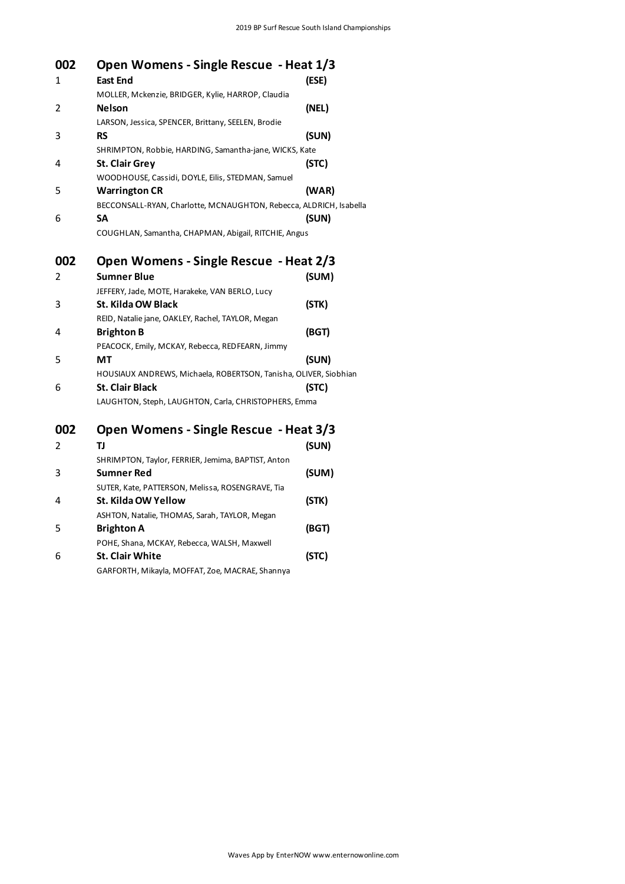| 002 | Open Womens - Single Rescue - Heat 1/3                             |       |
|-----|--------------------------------------------------------------------|-------|
| 1   | <b>East End</b>                                                    | (ESE) |
|     | MOLLER, Mckenzie, BRIDGER, Kylie, HARROP, Claudia                  |       |
| 2   | <b>Nelson</b>                                                      | (NEL) |
|     | LARSON, Jessica, SPENCER, Brittany, SEELEN, Brodie                 |       |
| 3   | <b>RS</b>                                                          | (SUN) |
|     | SHRIMPTON, Robbie, HARDING, Samantha-jane, WICKS, Kate             |       |
| 4   | <b>St. Clair Grey</b>                                              | (STC) |
|     | WOODHOUSE, Cassidi, DOYLE, Eilis, STEDMAN, Samuel                  |       |
| 5   | <b>Warrington CR</b>                                               | (WAR) |
|     | BECCONSALL-RYAN, Charlotte, MCNAUGHTON, Rebecca, ALDRICH, Isabella |       |
| 6   | SΑ                                                                 | (SUN) |
|     | COUGHLAN, Samantha, CHAPMAN, Abigail, RITCHIE, Angus               |       |
| 002 | Open Womens - Single Rescue - Heat 2/3                             |       |
| 2   | Sumner Blue                                                        | (SUM) |
|     | JEFFERY, Jade, MOTE, Harakeke, VAN BERLO, Lucy                     |       |
| 3   | St. Kilda OW Black                                                 | (STK) |
|     | REID, Natalie jane, OAKLEY, Rachel, TAYLOR, Megan                  |       |
| 4   | <b>Brighton B</b>                                                  | (BGT) |
|     | PEACOCK, Emily, MCKAY, Rebecca, REDFEARN, Jimmy                    |       |
| 5   | MТ                                                                 | (SUN) |
|     | HOUSIAUX ANDREWS, Michaela, ROBERTSON, Tanisha, OLIVER, Siobhian   |       |
| 6   | <b>St. Clair Black</b>                                             | (STC) |
|     | LAUGHTON, Steph, LAUGHTON, Carla, CHRISTOPHERS, Emma               |       |
| 002 | Open Womens - Single Rescue - Heat 3/3                             |       |
| 2   | TJ                                                                 | (SUN) |
|     | SHRIMPTON, Taylor, FERRIER, Jemima, BAPTIST, Anton                 |       |
| 3   | Sumner Red                                                         | (SUM) |
|     | SUTER, Kate, PATTERSON, Melissa, ROSENGRAVE, Tia                   |       |
| 4   | St. Kilda OW Yellow                                                | (STK) |
|     | ASHTON, Natalie, THOMAS, Sarah, TAYLOR, Megan                      |       |
| 5   | <b>Brighton A</b>                                                  | (BGT) |
|     | POHE, Shana, MCKAY, Rebecca, WALSH, Maxwell                        |       |
| 6   | St. Clair White                                                    | (STC) |
|     | GARFORTH, Mikayla, MOFFAT, Zoe, MACRAE, Shannya                    |       |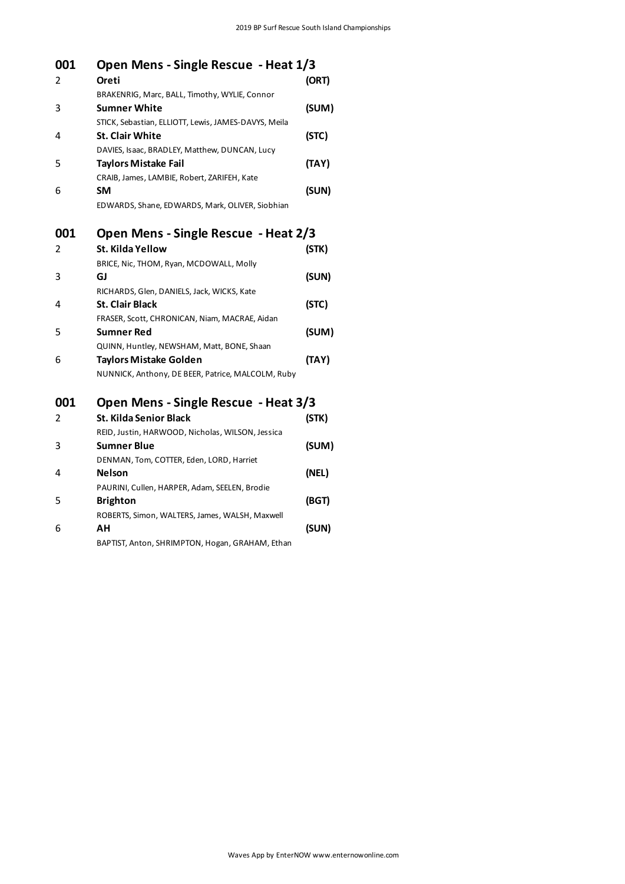| 001 | Open Mens - Single Rescue - Heat 1/3                 |       |
|-----|------------------------------------------------------|-------|
| 2   | Oreti                                                | (ORT) |
|     | BRAKENRIG, Marc, BALL, Timothy, WYLIE, Connor        |       |
| 3   | <b>Sumner White</b>                                  | (SUM) |
|     | STICK, Sebastian, ELLIOTT, Lewis, JAMES-DAVYS, Meila |       |
| 4   | <b>St. Clair White</b>                               | (STC) |
|     | DAVIES, Isaac, BRADLEY, Matthew, DUNCAN, Lucy        |       |
| 5   | Taylors Mistake Fail                                 | (TAY) |
|     | CRAIB, James, LAMBIE, Robert, ZARIFEH, Kate          |       |
| 6   | <b>SM</b>                                            | (SUN) |
|     | EDWARDS, Shane, EDWARDS, Mark, OLIVER, Siobhian      |       |
| 001 | Open Mens - Single Rescue - Heat 2/3                 |       |
| 2   | St. Kilda Yellow                                     | (STK) |
|     | BRICE, Nic, THOM, Ryan, MCDOWALL, Molly              |       |
| 3   | GJ                                                   | (SUN) |
|     | RICHARDS, Glen, DANIELS, Jack, WICKS, Kate           |       |
| 4   | <b>St. Clair Black</b>                               | (STC) |
|     | FRASER, Scott, CHRONICAN, Niam, MACRAE, Aidan        |       |
| 5   | <b>Sumner Red</b>                                    | (SUM) |
|     | QUINN, Huntley, NEWSHAM, Matt, BONE, Shaan           |       |
| 6   | Taylors Mistake Golden                               | (TAY) |
|     | NUNNICK, Anthony, DE BEER, Patrice, MALCOLM, Ruby    |       |
| 001 | Open Mens - Single Rescue - Heat 3/3                 |       |
| 2   | <b>St. Kilda Senior Black</b>                        | (STK) |
|     | REID, Justin, HARWOOD, Nicholas, WILSON, Jessica     |       |
| 3   | <b>Sumner Blue</b>                                   | (SUM) |
|     | DENMAN Tom COTTER Edgn LORD Harriot                  |       |

## DENMAN, Tom, COTTER, Eden, LORD, Harriet 4 **Nelson (NEL)** PAURINI, Cullen, HARPER, Adam, SEELEN, Brodie 5 **Brighton (BGT)**

ROBERTS, Simon, WALTERS, James, WALSH, Maxwell 6 **AH (SUN)** BAPTIST, Anton, SHRIMPTON, Hogan, GRAHAM, Ethan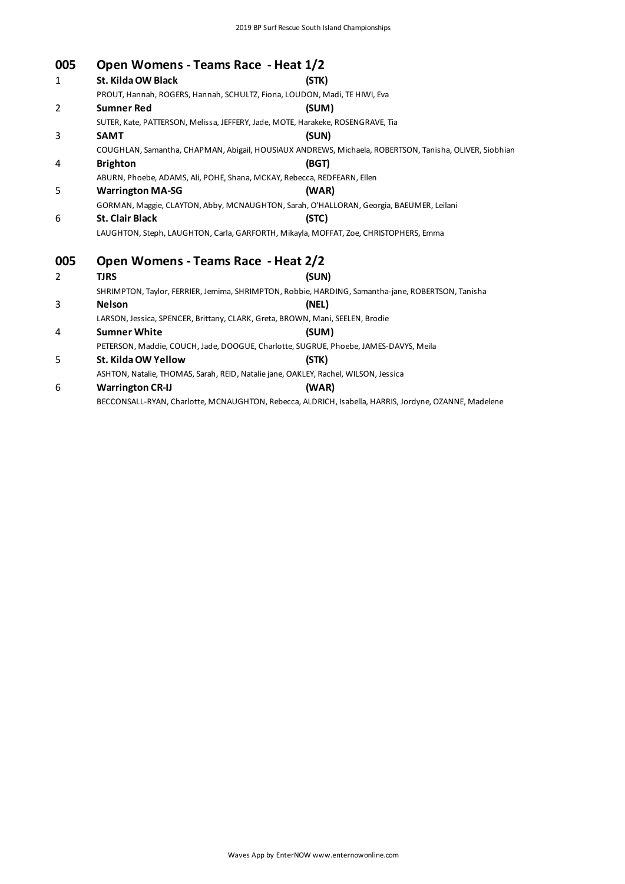| 005 | Open Womens - Teams Race - Heat 1/2                                                 |                                                                                                        |  |
|-----|-------------------------------------------------------------------------------------|--------------------------------------------------------------------------------------------------------|--|
| 1   | St. Kilda OW Black                                                                  | (STK)                                                                                                  |  |
|     | PROUT, Hannah, ROGERS, Hannah, SCHULTZ, Fiona, LOUDON, Madi, TE HIWI, Eva           |                                                                                                        |  |
| 2   | <b>Sumner Red</b>                                                                   | (SUM)                                                                                                  |  |
|     | SUTER, Kate, PATTERSON, Melissa, JEFFERY, Jade, MOTE, Harakeke, ROSENGRAVE, Tia     |                                                                                                        |  |
| 3   | <b>SAMT</b>                                                                         | (SUN)                                                                                                  |  |
|     |                                                                                     | COUGHLAN, Samantha, CHAPMAN, Abigail, HOUSIAUX ANDREWS, Michaela, ROBERTSON, Tanisha, OLIVER, Siobhian |  |
| 4   | <b>Brighton</b>                                                                     | (BGT)                                                                                                  |  |
|     | ABURN, Phoebe, ADAMS, Ali, POHE, Shana, MCKAY, Rebecca, REDFEARN, Ellen             |                                                                                                        |  |
| 5   | <b>Warrington MA-SG</b>                                                             | (WAR)                                                                                                  |  |
|     |                                                                                     | GORMAN, Maggie, CLAYTON, Abby, MCNAUGHTON, Sarah, O'HALLORAN, Georgia, BAEUMER, Leilani                |  |
| 6   | St. Clair Black                                                                     | (STC)                                                                                                  |  |
|     |                                                                                     | LAUGHTON, Steph, LAUGHTON, Carla, GARFORTH, Mikayla, MOFFAT, Zoe, CHRISTOPHERS, Emma                   |  |
| 005 | Open Womens - Teams Race - Heat 2/2                                                 |                                                                                                        |  |
| 2   | <b>TJRS</b>                                                                         | (SUN)                                                                                                  |  |
|     |                                                                                     | SHRIMPTON, Taylor, FERRIER, Jemima, SHRIMPTON, Robbie, HARDING, Samantha-jane, ROBERTSON, Tanisha      |  |
| 3   | <b>Nelson</b>                                                                       | (NEL)                                                                                                  |  |
|     | LARSON, Jessica, SPENCER, Brittany, CLARK, Greta, BROWN, Mani, SEELEN, Brodie       |                                                                                                        |  |
| 4   | <b>Sumner White</b>                                                                 | (SUM)                                                                                                  |  |
|     |                                                                                     | PETERSON, Maddie, COUCH, Jade, DOOGUE, Charlotte, SUGRUE, Phoebe, JAMES-DAVYS, Meila                   |  |
| 5   | St. Kilda OW Yellow                                                                 | (STK)                                                                                                  |  |
|     | ASHTON, Natalie, THOMAS, Sarah, REID, Natalie jane, OAKLEY, Rachel, WILSON, Jessica |                                                                                                        |  |
| 6   | <b>Warrington CR-IJ</b>                                                             | (WAR)                                                                                                  |  |
|     |                                                                                     | BECCONSALL-RYAN, Charlotte, MCNAUGHTON, Rebecca, ALDRICH, Isabella, HARRIS, Jordyne, OZANNE, Madelene  |  |